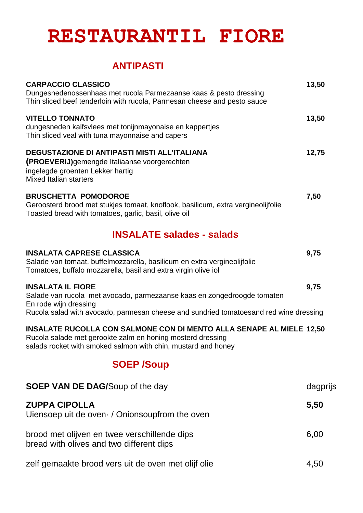# **RESTAURANTIL FIORE**

### **ANTIPASTI**

| <b>CARPACCIO CLASSICO</b><br>Dungesnedenossenhaas met rucola Parmezaanse kaas & pesto dressing<br>Thin sliced beef tenderloin with rucola, Parmesan cheese and pesto sauce                          | 13,50 |
|-----------------------------------------------------------------------------------------------------------------------------------------------------------------------------------------------------|-------|
| <b>VITELLO TONNATO</b><br>dungesneden kalfsvlees met tonijnmayonaise en kappertjes<br>Thin sliced veal with tuna mayonnaise and capers                                                              | 13,50 |
| <b>DEGUSTAZIONE DI ANTIPASTI MISTI ALL'ITALIANA</b><br>(PROEVERIJ) gemengde Italiaanse voorgerechten<br>ingelegde groenten Lekker hartig<br><b>Mixed Italian starters</b>                           | 12,75 |
| <b>BRUSCHETTA POMODOROE</b><br>Geroosterd brood met stukjes tomaat, knoflook, basilicum, extra vergineolijfolie<br>Toasted bread with tomatoes, garlic, basil, olive oil                            | 7,50  |
| <b>INSALATE salades - salads</b>                                                                                                                                                                    |       |
| <b>INSALATA CAPRESE CLASSICA</b><br>Salade van tomaat, buffelmozzarella, basilicum en extra vergineolijfolie<br>Tomatoes, buffalo mozzarella, basil and extra virgin olive iol                      | 9,75  |
| <b>INSALATA IL FIORE</b><br>Salade van rucola met avocado, parmezaanse kaas en zongedroogde tomaten<br>En rode wijn dressing                                                                        | 9,75  |
| Rucola salad with avocado, parmesan cheese and sundried tomatoesand red wine dressing                                                                                                               |       |
| INSALATE RUCOLLA CON SALMONE CON DI MENTO ALLA SENAPE AL MIELE 12,50<br>Rucola salade met gerookte zalm en honing mosterd dressing<br>salads rocket with smoked salmon with chin, mustard and honey |       |

### **SOEP /Soup**

| <b>SOEP VAN DE DAG/Soup of the day</b>                                                   | dagprijs |
|------------------------------------------------------------------------------------------|----------|
| <b>ZUPPA CIPOLLA</b><br>Uiensoep uit de oven / Onionsoupfrom the oven                    | 5,50     |
| brood met olijven en twee verschillende dips<br>bread with olives and two different dips | 6,00     |
| zelf gemaakte brood vers uit de oven met olijf olie                                      | 4.50     |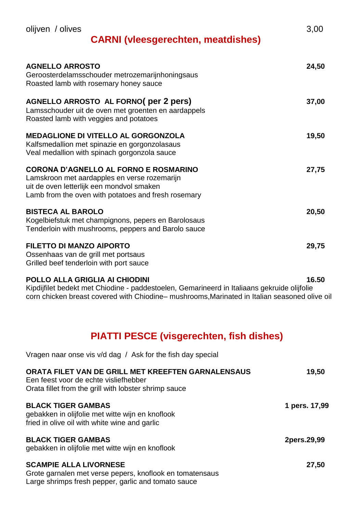### **CARNI (vleesgerechten, meatdishes)**

| <b>AGNELLO ARROSTO</b><br>Geroosterdelamsschouder metrozemarijnhoningsaus<br>Roasted lamb with rosemary honey sauce                                                                              | 24,50 |
|--------------------------------------------------------------------------------------------------------------------------------------------------------------------------------------------------|-------|
| AGNELLO ARROSTO AL FORNO (per 2 pers)<br>Lamsschouder uit de oven met groenten en aardappels<br>Roasted lamb with veggies and potatoes                                                           | 37,00 |
| <b>MEDAGLIONE DI VITELLO AL GORGONZOLA</b><br>Kalfsmedallion met spinazie en gorgonzolasaus<br>Veal medallion with spinach gorgonzola sauce                                                      | 19,50 |
| <b>CORONA D'AGNELLO AL FORNO E ROSMARINO</b><br>Lamskroon met aardapples en verse rozemarijn<br>uit de oven letterlijk een mondvol smaken<br>Lamb from the oven with potatoes and fresh rosemary | 27,75 |
| <b>BISTECA AL BAROLO</b><br>Kogelbiefstuk met champignons, pepers en Barolosaus<br>Tenderloin with mushrooms, peppers and Barolo sauce                                                           | 20,50 |
| <b>FILETTO DI MANZO AIPORTO</b><br>Ossenhaas van de grill met portsaus<br>Grilled beef tenderloin with port sauce                                                                                | 29,75 |

#### **POLLO ALLA GRIGLIA AI CHIODINI 16.50**

Vragen naar onse vis v/d dag / Ask for the fish day special

Kipdijfilet bedekt met Chiodine - paddestoelen, Gemarineerd in Italiaans gekruide olijfolie corn chicken breast covered with Chiodine– mushrooms,Marinated in Italian seasoned olive oil

### **PIATTI PESCE (visgerechten, fish dishes)**

| ORATA FILET VAN DE GRILL MET KREEFTEN GARNALENSAUS<br>Een feest voor de echte visliefhebber<br>Orata fillet from the grill with lobster shrimp sauce | 19,50         |
|------------------------------------------------------------------------------------------------------------------------------------------------------|---------------|
| <b>BLACK TIGER GAMBAS</b><br>gebakken in olijfolie met witte wijn en knoflook<br>fried in olive oil with white wine and garlic                       | 1 pers. 17,99 |
| <b>BLACK TIGER GAMBAS</b><br>gebakken in olijfolie met witte wijn en knoflook                                                                        | 2pers.29,99   |
| <b>SCAMPIE ALLA LIVORNESE</b><br>Grote garnalen met verse pepers, knoflook en tomatensaus<br>Large shrimps fresh pepper, garlic and tomato sauce     | 27,50         |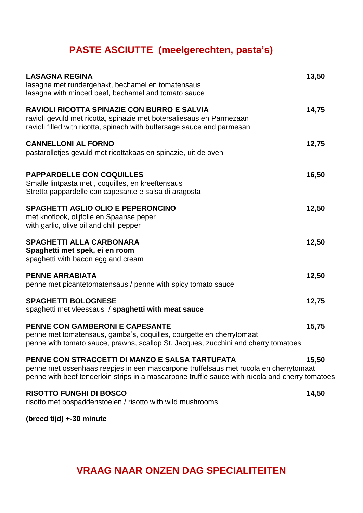## **PASTE ASCIUTTE (meelgerechten, pasta's)**

| <b>LASAGNA REGINA</b><br>lasagne met rundergehakt, bechamel en tomatensaus<br>lasagna with minced beef, bechamel and tomato sauce                                                                                                          | 13,50 |
|--------------------------------------------------------------------------------------------------------------------------------------------------------------------------------------------------------------------------------------------|-------|
| <b>RAVIOLI RICOTTA SPINAZIE CON BURRO E SALVIA</b><br>ravioli gevuld met ricotta, spinazie met botersaliesaus en Parmezaan<br>ravioli filled with ricotta, spinach with buttersage sauce and parmesan                                      | 14,75 |
| <b>CANNELLONI AL FORNO</b><br>pastarolletjes gevuld met ricottakaas en spinazie, uit de oven                                                                                                                                               | 12,75 |
| <b>PAPPARDELLE CON COQUILLES</b><br>Smalle lintpasta met, coquilles, en kreeftensaus<br>Stretta pappardelle con capesante e salsa di aragosta                                                                                              | 16,50 |
| <b>SPAGHETTI AGLIO OLIO E PEPERONCINO</b><br>met knoflook, olijfolie en Spaanse peper<br>with garlic, olive oil and chili pepper                                                                                                           | 12,50 |
| <b>SPAGHETTI ALLA CARBONARA</b><br>Spaghetti met spek, ei en room<br>spaghetti with bacon egg and cream                                                                                                                                    | 12,50 |
| <b>PENNE ARRABIATA</b><br>penne met picantetomatensaus / penne with spicy tomato sauce                                                                                                                                                     | 12,50 |
| <b>SPAGHETTI BOLOGNESE</b><br>spaghetti met vleessaus / spaghetti with meat sauce                                                                                                                                                          | 12,75 |
| PENNE CON GAMBERONI E CAPESANTE<br>penne met tomatensaus, gamba's, coquilles, courgette en cherrytomaat<br>penne with tomato sauce, prawns, scallop St. Jacques, zucchini and cherry tomatoes                                              | 15,75 |
| PENNE CON STRACCETTI DI MANZO E SALSA TARTUFATA<br>penne met ossenhaas reepjes in een mascarpone truffelsaus met rucola en cherrytomaat<br>penne with beef tenderloin strips in a mascarpone truffle sauce with rucola and cherry tomatoes | 15,50 |
| <b>RISOTTO FUNGHI DI BOSCO</b><br>risotto met bospaddenstoelen / risotto with wild mushrooms                                                                                                                                               | 14,50 |

**(breed tijd) +-30 minute** 

### **VRAAG NAAR ONZEN DAG SPECIALITEITEN**